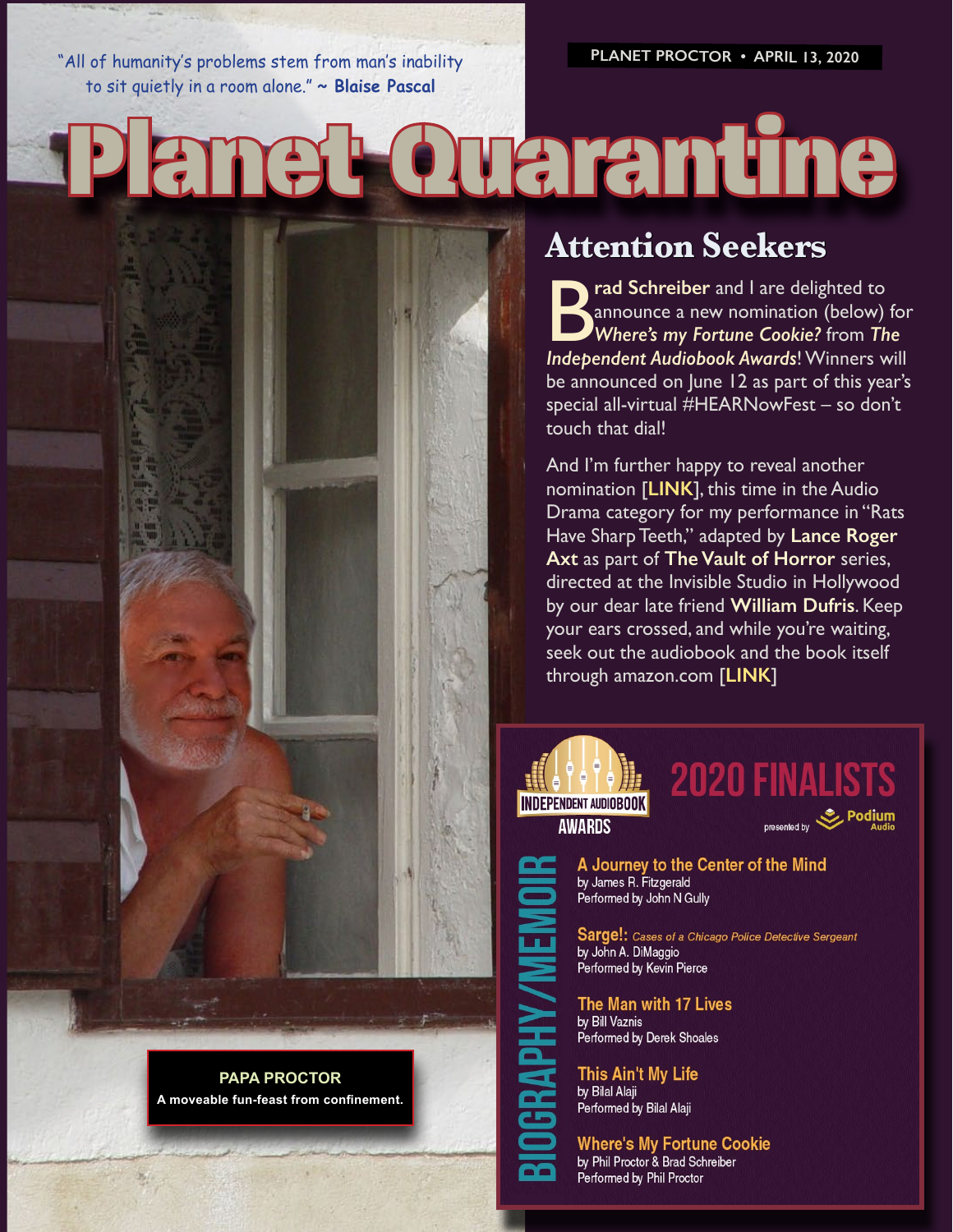**PLANET PROCTOR • APRIL 13, 2020** 

"All of humanity's problems stem from man's inability to sit quietly in a room alone." **~ Blaise Pascal**

Planet Quarantine

## **Attention Seekers**

**Pad Schreiber** and I are delighted to announce a new nomination (below) for *Where's my Fortune Cookie?* from *The Independent Audiobook Awards*! Winners will be announced on June 12 as part of this year's special all-virtual #HEARNowFest – so don't touch that dial!

And I'm further happy to reveal another nomination [**[LINK](https://pocketuniverseproductions.com/projects/vault-of-horror/)**], this time in the Audio Drama category for my performance in "Rats Have Sharp Teeth," adapted by **Lance Roger Axt** as part of **The Vault of Horror** series, directed at the Invisible Studio in Hollywood by our dear late friend **William Dufris**. Keep your ears crossed, and while you're waiting, seek out the audiobook and the book itself through amazon.com [**[LINK](https://www.amazon.com/Wheres-Fortune-Cookie-Phil-Proctor/dp/138970503X/ref=sr_1_1?s=books&ie=UTF8&qid=1539960127&sr=1-1)**]



**2020 FINALISTS** presented by **Podium** 

A Journey to the Center of the Mind<br>by James R. Fitzgerald Performed by John N Gully

**Sarge!:** Cases of a Chicago Police Detective Sergeant by John A. DiMaggio Performed by Kevin Pierce

The Man with 17 Lives by Bill Vaznis Performed by Derek Shoales

**This Ain't My Life** by Bilal Alaji Performed by Bilal Alaji

Performed by Phil Proctor

**Where's My Fortune Cookie** by Phil Proctor & Brad Schreiber

**PAPA PROCTOR A moveable fun-feast from confinement.**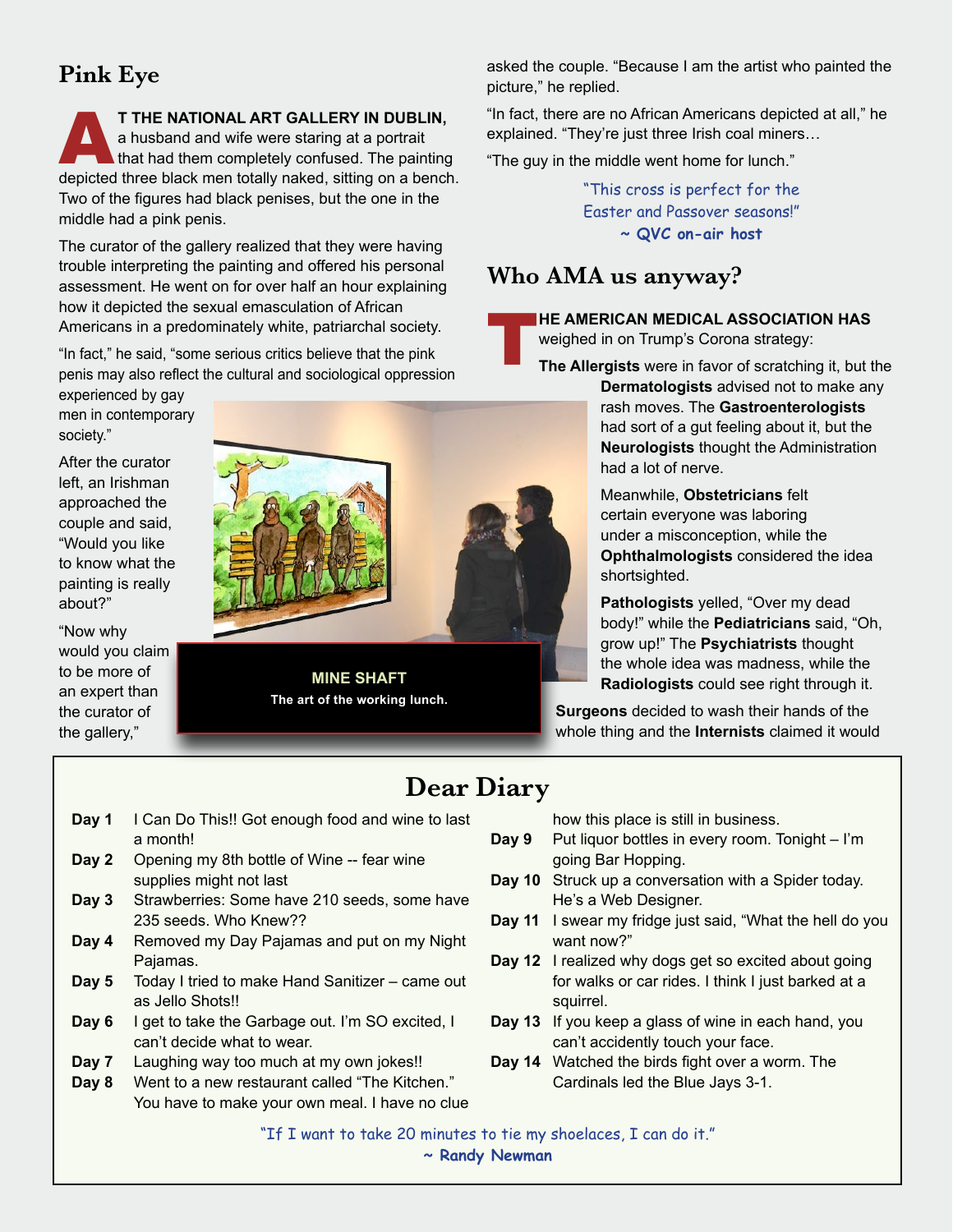## **Pink Eye**

**AT THE NATIONAL ART GALLERY IN DUBLIN,**<br>
that had them completely confused. The painting<br>
depicted three block men totally poked, eiting an a baneb a husband and wife were staring at a portrait depicted three black men totally naked, sitting on a bench. Two of the figures had black penises, but the one in the middle had a pink penis.

The curator of the gallery realized that they were having trouble interpreting the painting and offered his personal assessment. He went on for over half an hour explaining how it depicted the sexual emasculation of African Americans in a predominately white, patriarchal society.

"In fact," he said, "some serious critics believe that the pink penis may also reflect the cultural and sociological oppression

experienced by gay men in contemporary society."

After the curator left, an Irishman approached the couple and said, "Would you like to know what the painting is really about?"

"Now why would you claim to be more of an expert than the curator of the gallery,"



**MINE SHAFT The art of the working lunch.** asked the couple. "Because I am the artist who painted the picture," he replied.

"In fact, there are no African Americans depicted at all," he explained. "They're just three Irish coal miners…

"The guy in the middle went home for lunch."

"This cross is perfect for the Easter and Passover seasons!" **~ QVC on-air host**

## **Who AMA us anyway?**

**THE AMERICAN MEDICAL ASSOCIATION HAS**<br> **The Allergists** were in favor of scratching it, but the weighed in on Trump's Corona strategy:

**Dermatologists** advised not to make any rash moves. The **Gastroenterologists** had sort of a gut feeling about it, but the **Neurologists** thought the Administration had a lot of nerve.

> Meanwhile, **Obstetricians** felt certain everyone was laboring under a misconception, while the **Ophthalmologists** considered the idea shortsighted.

**Pathologists** yelled, "Over my dead body!" while the **Pediatricians** said, "Oh, grow up!" The **Psychiatrists** thought the whole idea was madness, while the **Radiologists** could see right through it.

**Surgeons** decided to wash their hands of the whole thing and the **Internists** claimed it would

## **Dear Diary**

- **Day 1** I Can Do This!! Got enough food and wine to last a month!
- **Day 2** Opening my 8th bottle of Wine -- fear wine supplies might not last
- **Day 3** Strawberries: Some have 210 seeds, some have 235 seeds. Who Knew??
- **Day 4** Removed my Day Pajamas and put on my Night Pajamas.
- **Day 5** Today I tried to make Hand Sanitizer came out as Jello Shots!!
- **Day 6** I get to take the Garbage out. I'm SO excited, I can't decide what to wear.
- **Day 7** Laughing way too much at my own jokes!!
- **Day 8** Went to a new restaurant called "The Kitchen." You have to make your own meal. I have no clue

how this place is still in business.

- **Day 9** Put liquor bottles in every room. Tonight I'm going Bar Hopping.
- **Day 10** Struck up a conversation with a Spider today. He's a Web Designer.
- **Day 11** I swear my fridge just said, "What the hell do you want now?"
- **Day 12** I realized why dogs get so excited about going for walks or car rides. I think I just barked at a squirrel.
- **Day 13** If you keep a glass of wine in each hand, you can't accidently touch your face.

n *CONTINUED*

**Day 14** Watched the birds fight over a worm. The Cardinals led the Blue Jays 3-1.

"If I want to take 20 minutes to tie my shoelaces, I can do it." **~ Randy Newman**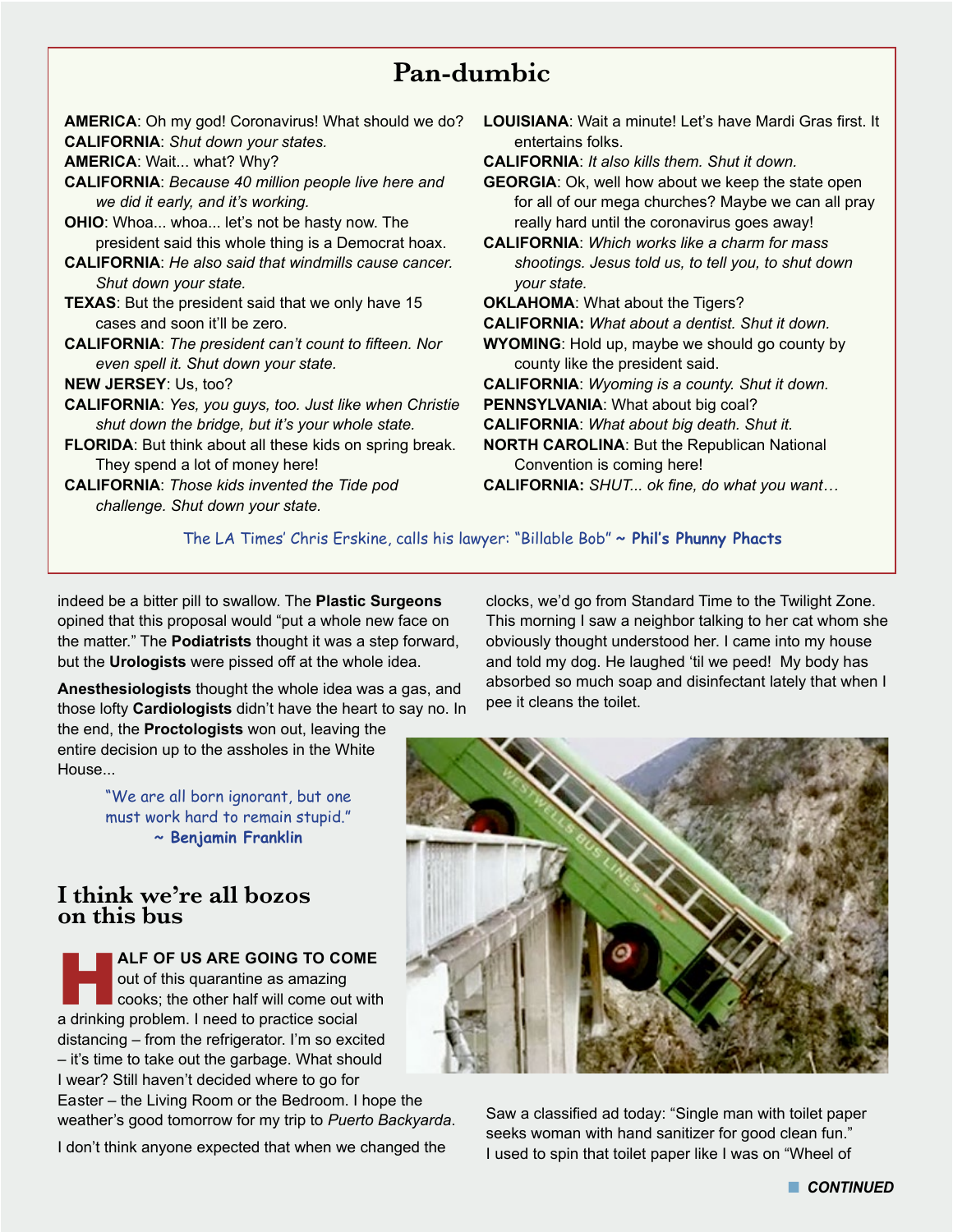## **Pan-dumbic**

**AMERICA**: Oh my god! Coronavirus! What should we do? **LOUISIANA**: Wait a minute! Let's have Mardi Gras first. It **CALIFORNIA**: *Shut down your states.* **AMERICA**: Wait... what? Why? **CALIFORNIA**: *Because 40 million people live here and we did it early, and it's working.* **OHIO**: Whoa... whoa... let's not be hasty now. The president said this whole thing is a Democrat hoax. **CALIFORNIA**: *He also said that windmills cause cancer. Shut down your state.* **TEXAS**: But the president said that we only have 15 cases and soon it'll be zero. **CALIFORNIA**: *The president can't count to fifteen. Nor even spell it. Shut down your state.* **NEW JERSEY**: Us, too? **CALIFORNIA**: *Yes, you guys, too. Just like when Christie shut down the bridge, but it's your whole state.* **FLORIDA**: But think about all these kids on spring break. They spend a lot of money here! **CALIFORNIA**: *Those kids invented the Tide pod challenge. Shut down your state.* entertains folks. **CALIFORNIA**: *It also kills them. Shut it down.* **GEORGIA**: Ok, well how about we keep the state open for all of our mega churches? Maybe we can all pray really hard until the coronavirus goes away! **CALIFORNIA**: *Which works like a charm for mass shootings. Jesus told us, to tell you, to shut down your state.* **OKLAHOMA**: What about the Tigers? **CALIFORNIA:** *What about a dentist. Shut it down.* **WYOMING**: Hold up, maybe we should go county by county like the president said. **CALIFORNIA**: *Wyoming is a county. Shut it down.* **PENNSYLVANIA**: What about big coal? **CALIFORNIA**: *What about big death. Shut it.* **NORTH CAROLINA**: But the Republican National Convention is coming here! **CALIFORNIA:** *SHUT... ok fine, do what you want…*

The LA Times' Chris Erskine, calls his lawyer: "Billable Bob" **~ Phil's Phunny Phacts**

indeed be a bitter pill to swallow. The **Plastic Surgeons** opined that this proposal would "put a whole new face on the matter." The **Podiatrists** thought it was a step forward, but the **Urologists** were pissed off at the whole idea.

**Anesthesiologists** thought the whole idea was a gas, and those lofty **Cardiologists** didn't have the heart to say no. In

the end, the **Proctologists** won out, leaving the entire decision up to the assholes in the White House...

> "We are all born ignorant, but one must work hard to remain stupid." **~ Benjamin Franklin**

#### **I think we're all bozos on this bus**

**ALF OF US ARE GOING TO COME** out of this quarantine as amazing cooks; the other half will come out with a drinking problem. I need to practice social distancing – from the refrigerator. I'm so excited – it's time to take out the garbage. What should I wear? Still haven't decided where to go for

Easter – the Living Room or the Bedroom. I hope the weather's good tomorrow for my trip to *Puerto Backyarda*.

I don't think anyone expected that when we changed the

clocks, we'd go from Standard Time to the Twilight Zone. This morning I saw a neighbor talking to her cat whom she obviously thought understood her. I came into my house and told my dog. He laughed 'til we peed! My body has absorbed so much soap and disinfectant lately that when I pee it cleans the toilet.



Saw a classified ad today: "Single man with toilet paper seeks woman with hand sanitizer for good clean fun." I used to spin that toilet paper like I was on "Wheel of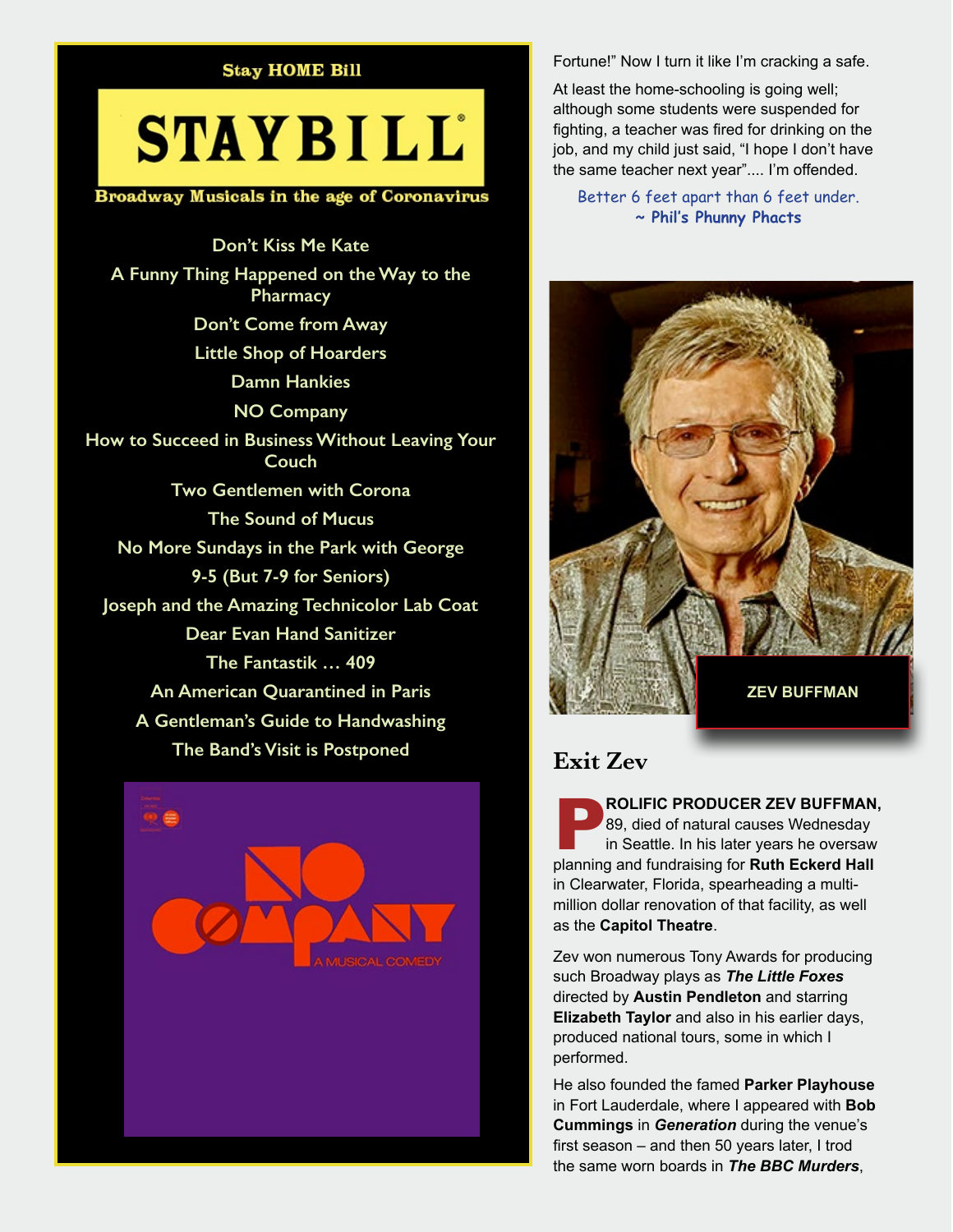#### **Stay HOME Bill**

# **STAY BILL**

Broadway Musicals in the age of Coronavirus

**Don't Kiss Me Kate A Funny Thing Happened on the Way to the Pharmacy Don't Come from Away Little Shop of Hoarders Damn Hankies NO Company How to Succeed in Business Without Leaving Your Couch Two Gentlemen with Corona The Sound of Mucus No More Sundays in the Park with George 9-5 (But 7-9 for Seniors) Joseph and the Amazing Technicolor Lab Coat Dear Evan Hand Sanitizer The Fantastik … 409 An American Quarantined in Paris A Gentleman's Guide to Handwashing The Band's Visit is Postponed**



Fortune!" Now I turn it like I'm cracking a safe.

At least the home-schooling is going well; although some students were suspended for fighting, a teacher was fired for drinking on the job, and my child just said, "I hope I don't have the same teacher next year".... I'm offended.

Better 6 feet apart than 6 feet under. **~ Phil's Phunny Phacts**



### **Exit Zev**

**PROLIFIC PRODUCER ZEV BUFFMAN,**<br>
89, died of natural causes Wednesday<br>
in Seattle. In his later years he oversaw<br>
planning and fundraising for Ruth Eckerd Hall 89, died of natural causes Wednesday in Seattle. In his later years he oversaw in Clearwater, Florida, spearheading a multimillion dollar renovation of that facility, as well as the **Capitol Theatre**.

Zev won numerous Tony Awards for producing such Broadway plays as *The Little Foxes* directed by **Austin Pendleton** and starring **Elizabeth Taylor** and also in his earlier days, produced national tours, some in which I performed.

He also founded the famed **Parker Playhouse** in Fort Lauderdale, where I appeared with **Bob Cummings** in *Generation* during the venue's first season – and then 50 years later, I trod the same worn boards in *The BBC Murders*,